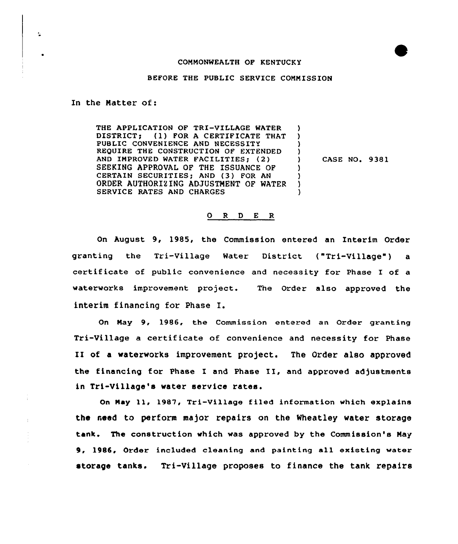## COMMONWEALTH OP KENTUCKY

## BEFORE THE PUBLIC SERVICE COMMISSION

In the Matter of:

 $\mathbf{M}$ 

THE APPLICATION OF TRI-VILLAGE WATER DISTRICT; (1) FOR A CERTIFICATE THAT PUBLIC CONVENIENCE AND NECESSITY REQUIRE THE CONSTRUCTION OF EXTENDED AND IMPROVED WATER FACILITIES; (2) SEEKING APPROVAL OF THE ISSUANCE OF CERTAIN SECURITIES; AND (3) FOR AN ORDER AUTHORIZING ADJUSTMENT OF WATER SERVICE RATES AND CHARGES )<br>)  $\left\{ \right.$ 

) CASE NO, 9381

)  $\left\{ \right\}$ )

## 0 <sup>R</sup> <sup>D</sup> <sup>E</sup> <sup>R</sup>

On August 9, 1985, the Commission entered an Interim Order granting the Tri-Village Water District ("Tri-Village") a certificate of public convenience and necessity for Phase I of a waterworks improvement project. The Order also approved the interim financing for Phase I.

On Nay 9, 1986, the Commission entered an Order granting Tri-Village <sup>a</sup> certificate of convenience and necessity for Phase II of <sup>a</sup> waterworks improvement project. The Order also approved the financing for Phase I and Phase II, and approved adjustments in Tri-Village's water service rates.

On Nay 11, 1987, Tri-Village filed information which explains the need to perform major repairs on the Wheatley water storage tank. The construction which was approved by the Commission's May 9, 1986, Order included cleaning and painting all existing water storage tanks. Tri-Village proposes to finance the tank repairs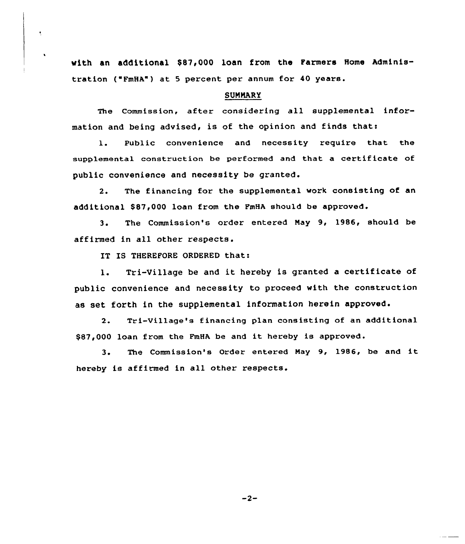with an additional \$87,000 loan from the Farmers Home Administration ( FmHA") at <sup>5</sup> percent per annum for 40 years.

## SUMMARY

The Commission, after considering all supplemental information and being advised, is of the opinion and finds thati

1. Public convenience and necessity require that the supplemental construction be performed and that a certificate of public convenience and necessity be granted.

2. The financing for the supplemental work consisting of an additional \$87,000 loan from the FmHA should be approved.

3. The Commission's order entered May 9, 1986, should be affirmed in all other respects.

IT IS THEREFORE ORDERED that:

1. Tri-Village be and it hereby is granted <sup>a</sup> certificate of public convenience and necessity to proceed with the construction as set forth in the supplemental information herein approved.

2. Tri-Village's financing plan consisting of an additional \$87,000 loan from the FmHA be and it hereby is approved.

3. The Commission's Order entered May 9, 1986, be and it hereby is affirmed in all other respects.

 $-2-$